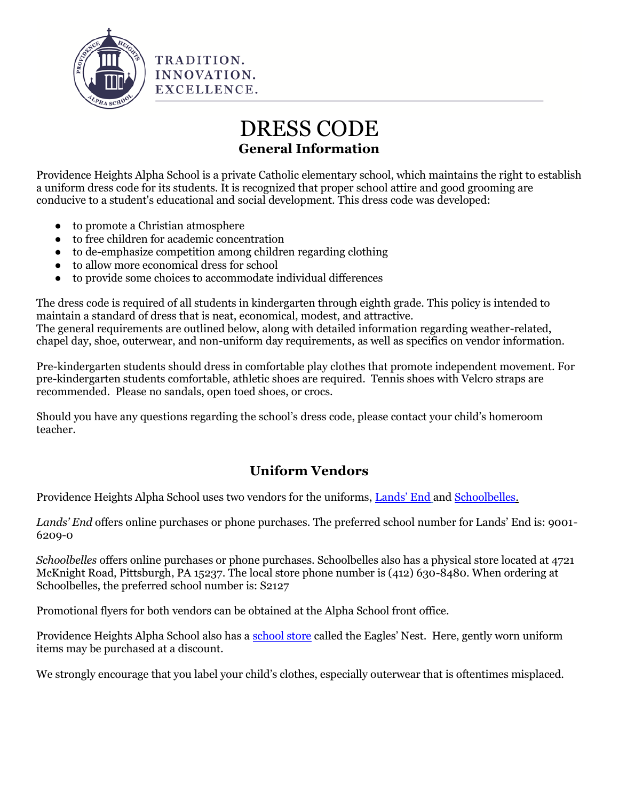

# DRESS CODE **General Information**

Providence Heights Alpha School is a private Catholic elementary school, which maintains the right to establish a uniform dress code for its students. It is recognized that proper school attire and good grooming are conducive to a student's educational and social development. This dress code was developed:

- to promote a Christian atmosphere
- to free children for academic concentration
- to de-emphasize competition among children regarding clothing

TRADITION. INNOVATION. EXCELLENCE.

- to allow more economical dress for school
- to provide some choices to accommodate individual differences

The dress code is required of all students in kindergarten through eighth grade. This policy is intended to maintain a standard of dress that is neat, economical, modest, and attractive. The general requirements are outlined below, along with detailed information regarding weather-related, chapel day, shoe, outerwear, and non-uniform day requirements, as well as specifics on vendor information.

Pre-kindergarten students should dress in comfortable play clothes that promote independent movement. For pre-kindergarten students comfortable, athletic shoes are required. Tennis shoes with Velcro straps are recommended. Please no sandals, open toed shoes, or crocs.

Should you have any questions regarding the school's dress code, please contact your child's homeroom teacher.

# **Uniform Vendors**

Providence Heights Alpha School uses two vendors for the uniforms, [Lands' End](http://www.landsend.com/) an[d Schoolbelles.](http://www.schoolbelles.com/)

*Lands' End* offers online purchases or phone purchases. The preferred school number for Lands' End is: 9001- 6209-0

*Schoolbelles* offers online purchases or phone purchases. Schoolbelles also has a physical store located at 4721 McKnight Road, Pittsburgh, PA 15237. The local store phone number is (412) 630-8480. When ordering at Schoolbelles, the preferred school number is: S2127

Promotional flyers for both vendors can be obtained at the Alpha School front office.

Providence Heights Alpha School also has a school store called the Eagles' Nest. Here, gently worn uniform items may be purchased at a discount.

We strongly encourage that you label your child's clothes, especially outerwear that is oftentimes misplaced.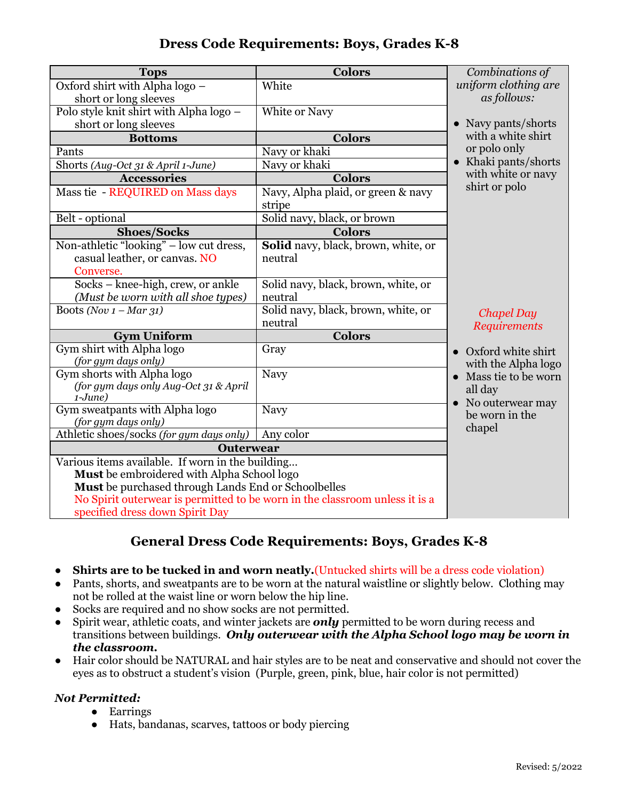### **Dress Code Requirements: Boys, Grades K-8**

| <b>Tops</b>                                                                 | <b>Colors</b>                       | Combinations of                    |
|-----------------------------------------------------------------------------|-------------------------------------|------------------------------------|
| Oxford shirt with Alpha logo -                                              | White                               | uniform clothing are               |
| short or long sleeves                                                       |                                     | as follows:                        |
| Polo style knit shirt with Alpha logo -                                     | White or Navy                       |                                    |
| short or long sleeves                                                       |                                     | • Navy pants/shorts                |
| <b>Bottoms</b>                                                              | <b>Colors</b>                       | with a white shirt                 |
| Pants                                                                       | Navy or khaki                       | or polo only                       |
| Shorts (Aug-Oct 31 & April 1-June)                                          | Navy or khaki                       | • Khaki pants/shorts               |
| <b>Accessories</b>                                                          | <b>Colors</b>                       | with white or navy                 |
| Mass tie - REQUIRED on Mass days                                            | Navy, Alpha plaid, or green & navy  | shirt or polo                      |
|                                                                             | stripe                              |                                    |
| Belt - optional                                                             | Solid navy, black, or brown         |                                    |
| <b>Shoes/Socks</b>                                                          | <b>Colors</b>                       |                                    |
| Non-athletic "looking" - low cut dress,                                     | Solid navy, black, brown, white, or |                                    |
| casual leather, or canvas. NO                                               | neutral                             |                                    |
| Converse.                                                                   |                                     |                                    |
| Socks – knee-high, crew, or ankle                                           | Solid navy, black, brown, white, or |                                    |
| (Must be worn with all shoe types)                                          | neutral                             |                                    |
| Boots (Nov $1 - Mar$ 31)                                                    | Solid navy, black, brown, white, or | <b>Chapel Day</b>                  |
|                                                                             | neutral                             | <b>Requirements</b>                |
| <b>Gym Uniform</b>                                                          | <b>Colors</b>                       |                                    |
| Gym shirt with Alpha logo<br>(for gym days only)                            | Gray                                | Oxford white shirt                 |
| Gym shorts with Alpha logo                                                  | Navy                                | with the Alpha logo                |
| (for gym days only Aug-Oct 31 & April                                       |                                     | Mass tie to be worn                |
| $1-June)$                                                                   |                                     | all day                            |
| Gym sweatpants with Alpha logo                                              | Navy                                | No outerwear may<br>be worn in the |
| (for gym days only)                                                         |                                     | chapel                             |
| Athletic shoes/socks (for gym days only)                                    | Any color                           |                                    |
| <b>Outerwear</b>                                                            |                                     |                                    |
| Various items available. If worn in the building                            |                                     |                                    |
| Must be embroidered with Alpha School logo                                  |                                     |                                    |
| Must be purchased through Lands End or Schoolbelles                         |                                     |                                    |
| No Spirit outerwear is permitted to be worn in the classroom unless it is a |                                     |                                    |
| specified dress down Spirit Day                                             |                                     |                                    |

# **General Dress Code Requirements: Boys, Grades K-8**

- **Shirts are to be tucked in and worn neatly.** (Untucked shirts will be a dress code violation)
- Pants, shorts, and sweatpants are to be worn at the natural waistline or slightly below. Clothing may not be rolled at the waist line or worn below the hip line.
- Socks are required and no show socks are not permitted.
- Spirit wear, athletic coats, and winter jackets are *only* permitted to be worn during recess and transitions between buildings. *Only outerwear with the Alpha School logo may be worn in the classroom.*
- Hair color should be NATURAL and hair styles are to be neat and conservative and should not cover the eyes as to obstruct a student's vision (Purple, green, pink, blue, hair color is not permitted)

#### *Not Permitted:*

- Earrings
- Hats, bandanas, scarves, tattoos or body piercing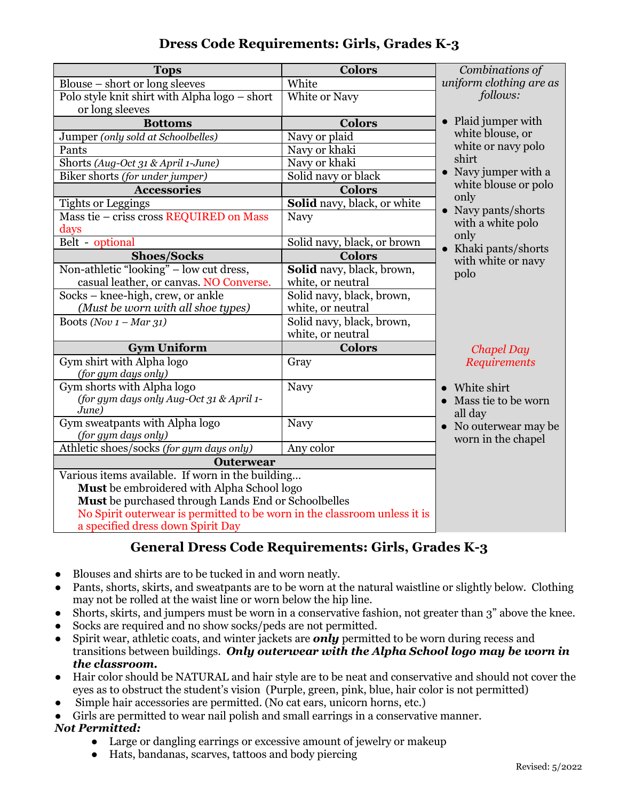| Dress Code Requirements: Girls, Grades K-3 |  |  |  |
|--------------------------------------------|--|--|--|
|--------------------------------------------|--|--|--|

| <b>Tops</b>                                                               | <b>Colors</b>               | Combinations of                          |
|---------------------------------------------------------------------------|-----------------------------|------------------------------------------|
| Blouse - short or long sleeves                                            | White                       | uniform clothing are as                  |
| Polo style knit shirt with Alpha logo - short                             | White or Navy               | follows:                                 |
| or long sleeves                                                           |                             |                                          |
| <b>Bottoms</b>                                                            | <b>Colors</b>               | • Plaid jumper with                      |
| Jumper (only sold at Schoolbelles)                                        | Navy or plaid               | white blouse, or                         |
| Pants                                                                     | Navy or khaki               | white or navy polo                       |
| Shorts (Aug-Oct 31 & April 1-June)                                        | Navy or khaki               | shirt                                    |
| Biker shorts (for under jumper)                                           | Solid navy or black         | • Navy jumper with a                     |
| <b>Accessories</b>                                                        | <b>Colors</b>               | white blouse or polo                     |
| Tights or Leggings                                                        | Solid navy, black, or white | only                                     |
| Mass tie - criss cross REQUIRED on Mass                                   | Navy                        | • Navy pants/shorts<br>with a white polo |
| days                                                                      |                             | only                                     |
| Belt - optional                                                           | Solid navy, black, or brown | Khaki pants/shorts                       |
| <b>Shoes/Socks</b>                                                        | <b>Colors</b>               | with white or navy                       |
| Non-athletic "looking" - low cut dress,                                   | Solid navy, black, brown,   | polo                                     |
| casual leather, or canvas. NO Converse.                                   | white, or neutral           |                                          |
| Socks - knee-high, crew, or ankle                                         | Solid navy, black, brown,   |                                          |
| (Must be worn with all shoe types)                                        | white, or neutral           |                                          |
| Boots (Nov $1 - Mar$ 31)                                                  | Solid navy, black, brown,   |                                          |
|                                                                           | white, or neutral           |                                          |
| <b>Gym Uniform</b>                                                        | <b>Colors</b>               | <b>Chapel Day</b>                        |
| Gym shirt with Alpha logo                                                 | Gray                        | <b>Requirements</b>                      |
| (for gym days only)                                                       |                             |                                          |
| Gym shorts with Alpha logo                                                | Navy                        | White shirt                              |
| (for gym days only Aug-Oct 31 & April 1-<br>June)                         |                             | Mass tie to be worn                      |
| Gym sweatpants with Alpha logo                                            | Navy                        | all day                                  |
| (for gym days only)                                                       |                             | No outerwear may be                      |
| Athletic shoes/socks (for gym days only)                                  | Any color                   | worn in the chapel                       |
| <b>Outerwear</b>                                                          |                             |                                          |
| Various items available. If worn in the building                          |                             |                                          |
| Must be embroidered with Alpha School logo                                |                             |                                          |
| Must be purchased through Lands End or Schoolbelles                       |                             |                                          |
| No Spirit outerwear is permitted to be worn in the classroom unless it is |                             |                                          |
| a specified dress down Spirit Day                                         |                             |                                          |

# **General Dress Code Requirements: Girls, Grades K-3**

- Blouses and shirts are to be tucked in and worn neatly.
- Pants, shorts, skirts, and sweatpants are to be worn at the natural waistline or slightly below. Clothing may not be rolled at the waist line or worn below the hip line.
- Shorts, skirts, and jumpers must be worn in a conservative fashion, not greater than 3" above the knee.
- Socks are required and no show socks/peds are not permitted.
- Spirit wear, athletic coats, and winter jackets are *only* permitted to be worn during recess and transitions between buildings. *Only outerwear with the Alpha School logo may be worn in the classroom.*
- Hair color should be NATURAL and hair style are to be neat and conservative and should not cover the eyes as to obstruct the student's vision (Purple, green, pink, blue, hair color is not permitted)
- Simple hair accessories are permitted. (No cat ears, unicorn horns, etc.)
- Girls are permitted to wear nail polish and small earrings in a conservative manner.

#### *Not Permitted:*

- Large or dangling earrings or excessive amount of jewelry or makeup
- Hats, bandanas, scarves, tattoos and body piercing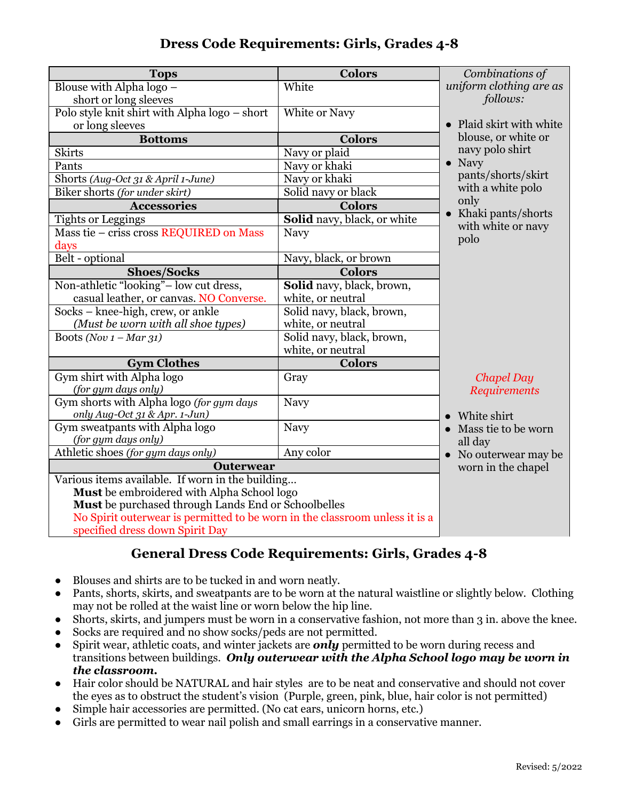# **Dress Code Requirements: Girls, Grades 4-8**

| Combinations of         |
|-------------------------|
| uniform clothing are as |
| follows:                |
|                         |
| Plaid skirt with white  |
| blouse, or white or     |
| navy polo shirt         |
|                         |
| pants/shorts/skirt      |
| with a white polo       |
|                         |
| • Khaki pants/shorts    |
| with white or navy      |
|                         |
|                         |
|                         |
|                         |
|                         |
|                         |
|                         |
|                         |
|                         |
|                         |
| <b>Chapel Day</b>       |
| Requirements            |
|                         |
| • White shirt           |
| • Mass tie to be worn   |
|                         |
| • No outerwear may be   |
| worn in the chapel      |
|                         |
|                         |
|                         |
|                         |
|                         |

# **General Dress Code Requirements: Girls, Grades 4-8**

- Blouses and shirts are to be tucked in and worn neatly.
- Pants, shorts, skirts, and sweatpants are to be worn at the natural waistline or slightly below. Clothing may not be rolled at the waist line or worn below the hip line.
- Shorts, skirts, and jumpers must be worn in a conservative fashion, not more than 3 in. above the knee.
- Socks are required and no show socks/peds are not permitted.
- Spirit wear, athletic coats, and winter jackets are *only* permitted to be worn during recess and transitions between buildings. *Only outerwear with the Alpha School logo may be worn in the classroom.*
- Hair color should be NATURAL and hair styles are to be neat and conservative and should not cover the eyes as to obstruct the student's vision (Purple, green, pink, blue, hair color is not permitted)
- Simple hair accessories are permitted. (No cat ears, unicorn horns, etc.)
- Girls are permitted to wear nail polish and small earrings in a conservative manner.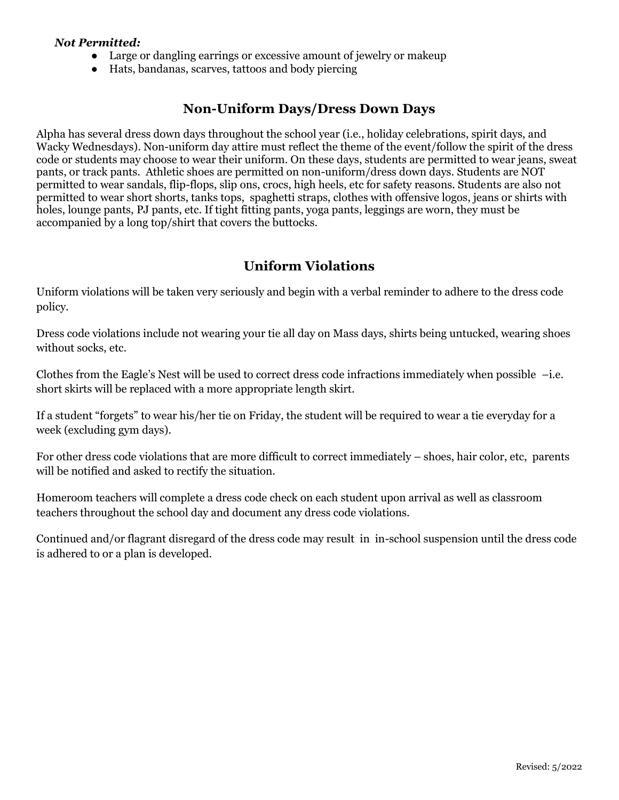#### *Not Permitted:*

- Large or dangling earrings or excessive amount of jewelry or makeup
- Hats, bandanas, scarves, tattoos and body piercing

#### **Non-Uniform Days/Dress Down Days**

Alpha has several dress down days throughout the school year (i.e., holiday celebrations, spirit days, and Wacky Wednesdays). Non-uniform day attire must reflect the theme of the event/follow the spirit of the dress code or students may choose to wear their uniform. On these days, students are permitted to wear jeans, sweat pants, or track pants. Athletic shoes are permitted on non-uniform/dress down days. Students are NOT permitted to wear sandals, flip-flops, slip ons, crocs, high heels, etc for safety reasons. Students are also not permitted to wear short shorts, tanks tops, spaghetti straps, clothes with offensive logos, jeans or shirts with holes, lounge pants, PJ pants, etc. If tight fitting pants, yoga pants, leggings are worn, they must be accompanied by a long top/shirt that covers the buttocks.

#### **Uniform Violations**

Uniform violations will be taken very seriously and begin with a verbal reminder to adhere to the dress code policy.

Dress code violations include not wearing your tie all day on Mass days, shirts being untucked, wearing shoes without socks, etc.

Clothes from the Eagle's Nest will be used to correct dress code infractions immediately when possible –i.e. short skirts will be replaced with a more appropriate length skirt.

If a student "forgets" to wear his/her tie on Friday, the student will be required to wear a tie everyday for a week (excluding gym days).

For other dress code violations that are more difficult to correct immediately – shoes, hair color, etc, parents will be notified and asked to rectify the situation.

Homeroom teachers will complete a dress code check on each student upon arrival as well as classroom teachers throughout the school day and document any dress code violations.

Continued and/or flagrant disregard of the dress code may result in in-school suspension until the dress code is adhered to or a plan is developed.